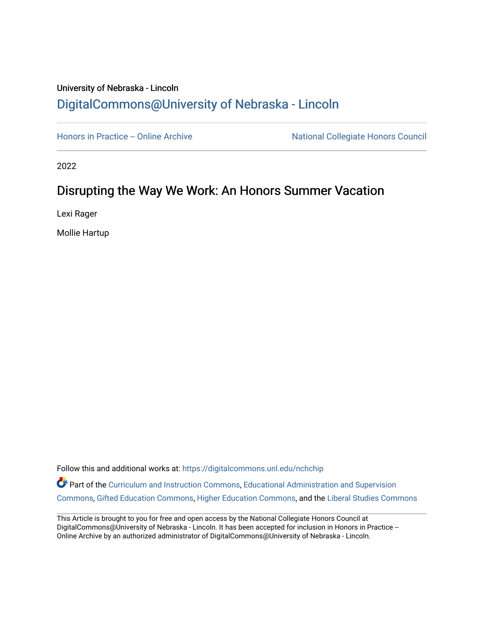## University of Nebraska - Lincoln [DigitalCommons@University of Nebraska - Lincoln](https://digitalcommons.unl.edu/)

[Honors in Practice -- Online Archive](https://digitalcommons.unl.edu/nchchip) National Collegiate Honors Council

2022

## Disrupting the Way We Work: An Honors Summer Vacation

Lexi Rager

Mollie Hartup

Follow this and additional works at: [https://digitalcommons.unl.edu/nchchip](https://digitalcommons.unl.edu/nchchip?utm_source=digitalcommons.unl.edu%2Fnchchip%2F379&utm_medium=PDF&utm_campaign=PDFCoverPages) 

Part of the [Curriculum and Instruction Commons,](http://network.bepress.com/hgg/discipline/786?utm_source=digitalcommons.unl.edu%2Fnchchip%2F379&utm_medium=PDF&utm_campaign=PDFCoverPages) Educational Administration and Supervision [Commons](http://network.bepress.com/hgg/discipline/787?utm_source=digitalcommons.unl.edu%2Fnchchip%2F379&utm_medium=PDF&utm_campaign=PDFCoverPages), [Gifted Education Commons,](http://network.bepress.com/hgg/discipline/1048?utm_source=digitalcommons.unl.edu%2Fnchchip%2F379&utm_medium=PDF&utm_campaign=PDFCoverPages) [Higher Education Commons](http://network.bepress.com/hgg/discipline/1245?utm_source=digitalcommons.unl.edu%2Fnchchip%2F379&utm_medium=PDF&utm_campaign=PDFCoverPages), and the [Liberal Studies Commons](http://network.bepress.com/hgg/discipline/1042?utm_source=digitalcommons.unl.edu%2Fnchchip%2F379&utm_medium=PDF&utm_campaign=PDFCoverPages)

This Article is brought to you for free and open access by the National Collegiate Honors Council at DigitalCommons@University of Nebraska - Lincoln. It has been accepted for inclusion in Honors in Practice --Online Archive by an authorized administrator of DigitalCommons@University of Nebraska - Lincoln.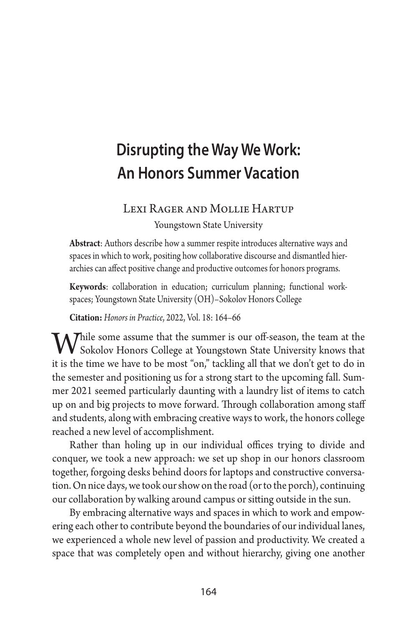# **Disrupting the Way We Work: An Honors Summer Vacation**

#### Lexi Rager and Mollie Hartup

Youngstown State University

**Abstract**: Authors describe how a summer respite introduces alternative ways and spaces in which to work, positing how collaborative discourse and dismantled hierarchies can affect positive change and productive outcomes for honors programs.

**Keywords**: collaboration in education; curriculum planning; functional workspaces; Youngstown State University (OH)–Sokolov Honors College

**Citation:** *Honors in Practice*, 2022, Vol. 18: 164–66

While some assume that the summer is our off-season, the team at the **V** Sokolov Honors College at Youngstown State University knows that it is the time we have to be most "on," tackling all that we don't get to do in the semester and positioning us for a strong start to the upcoming fall. Summer 2021 seemed particularly daunting with a laundry list of items to catch up on and big projects to move forward. Through collaboration among staff and students, along with embracing creative ways to work, the honors college reached a new level of accomplishment.

Rather than holing up in our individual offices trying to divide and conquer, we took a new approach: we set up shop in our honors classroom together, forgoing desks behind doors for laptops and constructive conversation. On nice days, we took our show on the road (or to the porch), continuing our collaboration by walking around campus or sitting outside in the sun.

By embracing alternative ways and spaces in which to work and empowering each other to contribute beyond the boundaries of our individual lanes, we experienced a whole new level of passion and productivity. We created a space that was completely open and without hierarchy, giving one another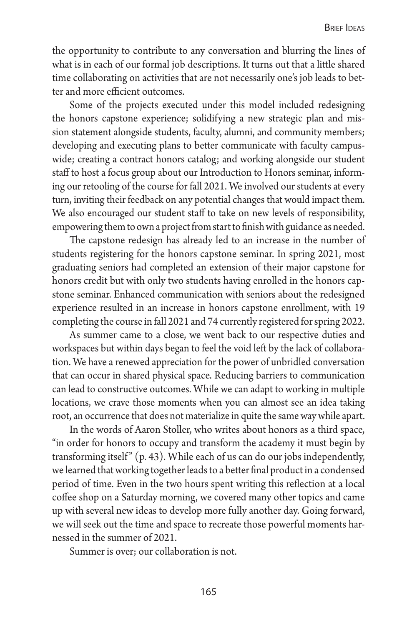the opportunity to contribute to any conversation and blurring the lines of what is in each of our formal job descriptions. It turns out that a little shared time collaborating on activities that are not necessarily one's job leads to better and more efficient outcomes.

Some of the projects executed under this model included redesigning the honors capstone experience; solidifying a new strategic plan and mission statement alongside students, faculty, alumni, and community members; developing and executing plans to better communicate with faculty campuswide; creating a contract honors catalog; and working alongside our student staff to host a focus group about our Introduction to Honors seminar, informing our retooling of the course for fall 2021. We involved our students at every turn, inviting their feedback on any potential changes that would impact them. We also encouraged our student staff to take on new levels of responsibility, empowering them to own a project from start to finish with guidance as needed.

The capstone redesign has already led to an increase in the number of students registering for the honors capstone seminar. In spring 2021, most graduating seniors had completed an extension of their major capstone for honors credit but with only two students having enrolled in the honors capstone seminar. Enhanced communication with seniors about the redesigned experience resulted in an increase in honors capstone enrollment, with 19 completing the course in fall 2021 and 74 currently registered for spring 2022.

As summer came to a close, we went back to our respective duties and workspaces but within days began to feel the void left by the lack of collaboration. We have a renewed appreciation for the power of unbridled conversation that can occur in shared physical space. Reducing barriers to communication can lead to constructive outcomes. While we can adapt to working in multiple locations, we crave those moments when you can almost see an idea taking root, an occurrence that does not materialize in quite the same way while apart.

In the words of Aaron Stoller, who writes about honors as a third space, "in order for honors to occupy and transform the academy it must begin by transforming itself"  $(p. 43)$ . While each of us can do our jobs independently, we learned that working together leads to a better final product in a condensed period of time. Even in the two hours spent writing this reflection at a local coffee shop on a Saturday morning, we covered many other topics and came up with several new ideas to develop more fully another day. Going forward, we will seek out the time and space to recreate those powerful moments harnessed in the summer of 2021.

Summer is over; our collaboration is not.